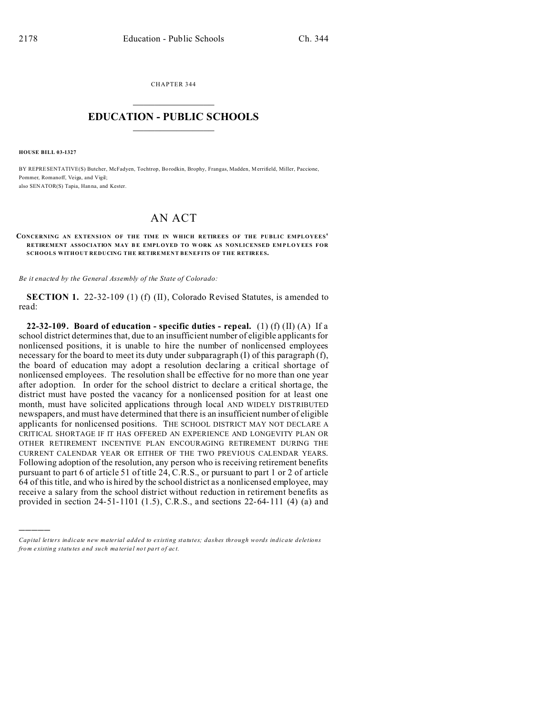CHAPTER 344  $\overline{\phantom{a}}$  , where  $\overline{\phantom{a}}$ 

## **EDUCATION - PUBLIC SCHOOLS**  $\_$   $\_$   $\_$   $\_$   $\_$   $\_$   $\_$   $\_$   $\_$

**HOUSE BILL 03-1327**

)))))

BY REPRESENTATIVE(S) Butcher, McFadyen, Tochtrop, Bo rodkin, Brophy, Frangas, Madden, Merrifield, Miller, Paccione, Pommer, Romanoff, Veiga, and Vigil; also SENATOR(S) Tapia, Han na, and Kester.

## AN ACT

## **CONCERNING AN EX TENSION OF THE TIME IN WHICH RETIREES OF THE PUBLIC EMPLOYEES' RETIREMENT ASSOCIATION MAY B E EMPL OYED TO W ORK AS NONLICENSED EMPLOYEES FOR SCHOOLS WITHOUT REDUCING THE RETIREMENT BENEFITS OF THE RETIREES.**

*Be it enacted by the General Assembly of the State of Colorado:*

**SECTION 1.** 22-32-109 (1) (f) (II), Colorado Revised Statutes, is amended to read:

**22-32-109.** Board of education - specific duties - repeal. (1) (f) (II) (A) If a school district determines that, due to an insufficient number of eligible applicants for nonlicensed positions, it is unable to hire the number of nonlicensed employees necessary for the board to meet its duty under subparagraph (I) of this paragraph (f), the board of education may adopt a resolution declaring a critical shortage of nonlicensed employees. The resolution shall be effective for no more than one year after adoption. In order for the school district to declare a critical shortage, the district must have posted the vacancy for a nonlicensed position for at least one month, must have solicited applications through local AND WIDELY DISTRIBUTED newspapers, and must have determined that there is an insufficient number of eligible applicants for nonlicensed positions. THE SCHOOL DISTRICT MAY NOT DECLARE A CRITICAL SHORTAGE IF IT HAS OFFERED AN EXPERIENCE AND LONGEVITY PLAN OR OTHER RETIREMENT INCENTIVE PLAN ENCOURAGING RETIREMENT DURING THE CURRENT CALENDAR YEAR OR EITHER OF THE TWO PREVIOUS CALENDAR YEARS. Following adoption of the resolution, any person who is receiving retirement benefits pursuant to part 6 of article 51 of title 24, C.R.S., or pursuant to part 1 or 2 of article 64 of this title, and who is hired by the school district as a nonlicensed employee, may receive a salary from the school district without reduction in retirement benefits as provided in section 24-51-1101 (1.5), C.R.S., and sections 22-64-111 (4) (a) and

*Capital letters indicate new material added to existing statutes; dashes through words indicate deletions from e xistin g statu tes a nd such ma teria l no t pa rt of ac t.*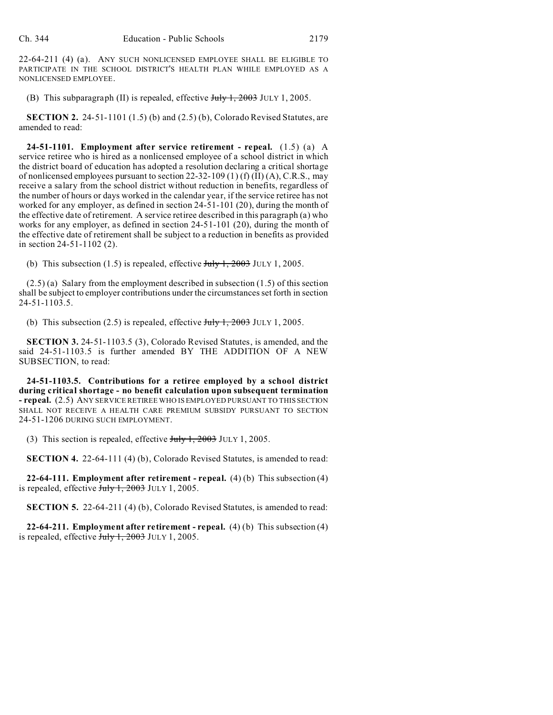22-64-211 (4) (a). ANY SUCH NONLICENSED EMPLOYEE SHALL BE ELIGIBLE TO PARTICIPATE IN THE SCHOOL DISTRICT'S HEALTH PLAN WHILE EMPLOYED AS A NONLICENSED EMPLOYEE.

(B) This subparagraph (II) is repealed, effective  $J_{\text{uly}}$  1, 2003 JULY 1, 2005.

**SECTION 2.** 24-51-1101 (1.5) (b) and (2.5) (b), Colorado Revised Statutes, are amended to read:

**24-51-1101. Employment after service retirement - repeal.** (1.5) (a) A service retiree who is hired as a nonlicensed employee of a school district in which the district board of education has adopted a resolution declaring a critical shortage of nonlicensed employees pursuant to section 22-32-109 (1) (f) (II) (A), C.R.S., may receive a salary from the school district without reduction in benefits, regardless of the number of hours or days worked in the calendar year, if the service retiree has not worked for any employer, as defined in section 24-51-101 (20), during the month of the effective date of retirement. A service retiree described in this paragraph (a) who works for any employer, as defined in section 24-51-101 (20), during the month of the effective date of retirement shall be subject to a reduction in benefits as provided in section 24-51-1102 (2).

(b) This subsection (1.5) is repealed, effective  $J_{\text{t}}/J_{\text{t}}$ , 2003 JULY 1, 2005.

(2.5) (a) Salary from the employment described in subsection (1.5) of this section shall be subject to employer contributions under the circumstances set forth in section 24-51-1103.5.

(b) This subsection (2.5) is repealed, effective  $\frac{\text{July }1, 2003 \text{ JULY }1, 2005.}{}$ 

**SECTION 3.** 24-51-1103.5 (3), Colorado Revised Statutes, is amended, and the said 24-51-1103.5 is further amended BY THE ADDITION OF A NEW SUBSECTION, to read:

**24-51-1103.5. Contributions for a retiree employed by a school district during critical shortage - no benefit calculation upon subsequent termination - repeal.** (2.5) ANY SERVICE RETIREE WHO IS EMPLOYED PURSUANT TO THIS SECTION SHALL NOT RECEIVE A HEALTH CARE PREMIUM SUBSIDY PURSUANT TO SECTION 24-51-1206 DURING SUCH EMPLOYMENT.

(3) This section is repealed, effective  $J_{\text{t}}/J_{\text{t}}$ ,  $2003$  JULY 1, 2005.

**SECTION 4.** 22-64-111 (4) (b), Colorado Revised Statutes, is amended to read:

**22-64-111. Employment after retirement - repeal.** (4) (b) This subsection (4) is repealed, effective  $J_{\text{ul}} + 2003$  JULY 1, 2005.

**SECTION 5.** 22-64-211 (4) (b), Colorado Revised Statutes, is amended to read:

**22-64-211. Employment after retirement - repeal.** (4) (b) This subsection (4) is repealed, effective  $\frac{\text{July }1, 2003 \text{ JULY }1, 2005.}$